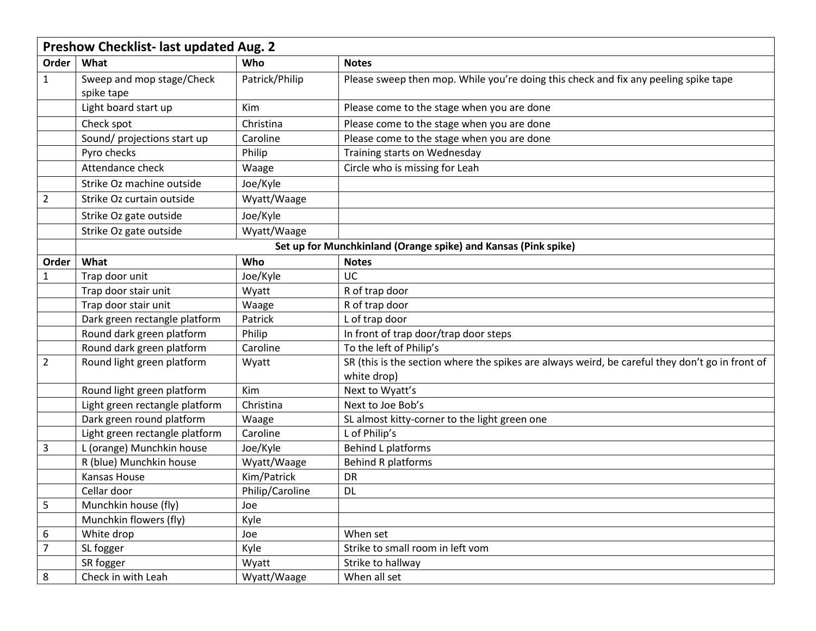| <b>Preshow Checklist- last updated Aug. 2</b> |                                                                |                 |                                                                                                 |  |  |
|-----------------------------------------------|----------------------------------------------------------------|-----------------|-------------------------------------------------------------------------------------------------|--|--|
| Order                                         | What                                                           | Who             | <b>Notes</b>                                                                                    |  |  |
| $\mathbf{1}$                                  | Sweep and mop stage/Check                                      | Patrick/Philip  | Please sweep then mop. While you're doing this check and fix any peeling spike tape             |  |  |
|                                               | spike tape                                                     |                 |                                                                                                 |  |  |
|                                               | Light board start up                                           | Kim             | Please come to the stage when you are done                                                      |  |  |
|                                               | Check spot                                                     | Christina       | Please come to the stage when you are done                                                      |  |  |
|                                               | Sound/ projections start up                                    | Caroline        | Please come to the stage when you are done                                                      |  |  |
|                                               | Pyro checks                                                    | Philip          | Training starts on Wednesday                                                                    |  |  |
|                                               | Attendance check                                               | Waage           | Circle who is missing for Leah                                                                  |  |  |
|                                               | Strike Oz machine outside                                      | Joe/Kyle        |                                                                                                 |  |  |
| $\overline{2}$                                | Strike Oz curtain outside                                      | Wyatt/Waage     |                                                                                                 |  |  |
|                                               | Strike Oz gate outside                                         | Joe/Kyle        |                                                                                                 |  |  |
|                                               | Strike Oz gate outside                                         | Wyatt/Waage     |                                                                                                 |  |  |
|                                               | Set up for Munchkinland (Orange spike) and Kansas (Pink spike) |                 |                                                                                                 |  |  |
| Order                                         | What                                                           | Who             | <b>Notes</b>                                                                                    |  |  |
| $\mathbf{1}$                                  | Trap door unit                                                 | Joe/Kyle        | UC                                                                                              |  |  |
|                                               | Trap door stair unit                                           | Wyatt           | R of trap door                                                                                  |  |  |
|                                               | Trap door stair unit                                           | Waage           | R of trap door                                                                                  |  |  |
|                                               | Dark green rectangle platform                                  | Patrick         | L of trap door                                                                                  |  |  |
|                                               | Round dark green platform                                      | Philip          | In front of trap door/trap door steps                                                           |  |  |
|                                               | Round dark green platform                                      | Caroline        | To the left of Philip's                                                                         |  |  |
| 2                                             | Round light green platform                                     | Wyatt           | SR (this is the section where the spikes are always weird, be careful they don't go in front of |  |  |
|                                               |                                                                |                 | white drop)                                                                                     |  |  |
|                                               | Round light green platform                                     | Kim             | Next to Wyatt's                                                                                 |  |  |
|                                               | Light green rectangle platform                                 | Christina       | Next to Joe Bob's                                                                               |  |  |
|                                               | Dark green round platform                                      | Waage           | SL almost kitty-corner to the light green one                                                   |  |  |
|                                               | Light green rectangle platform                                 | Caroline        | L of Philip's                                                                                   |  |  |
| 3                                             | L (orange) Munchkin house                                      | Joe/Kyle        | <b>Behind L platforms</b>                                                                       |  |  |
|                                               | R (blue) Munchkin house                                        | Wyatt/Waage     | <b>Behind R platforms</b>                                                                       |  |  |
|                                               | Kansas House                                                   | Kim/Patrick     | <b>DR</b>                                                                                       |  |  |
|                                               | Cellar door                                                    | Philip/Caroline | <b>DL</b>                                                                                       |  |  |
| 5                                             | Munchkin house (fly)                                           | Joe             |                                                                                                 |  |  |
|                                               | Munchkin flowers (fly)                                         | Kyle            |                                                                                                 |  |  |
| 6                                             | White drop                                                     | Joe             | When set                                                                                        |  |  |
| $\overline{7}$                                | SL fogger                                                      | Kyle            | Strike to small room in left vom                                                                |  |  |
|                                               | SR fogger                                                      | Wyatt           | Strike to hallway                                                                               |  |  |
| 8                                             | Check in with Leah                                             | Wyatt/Waage     | When all set                                                                                    |  |  |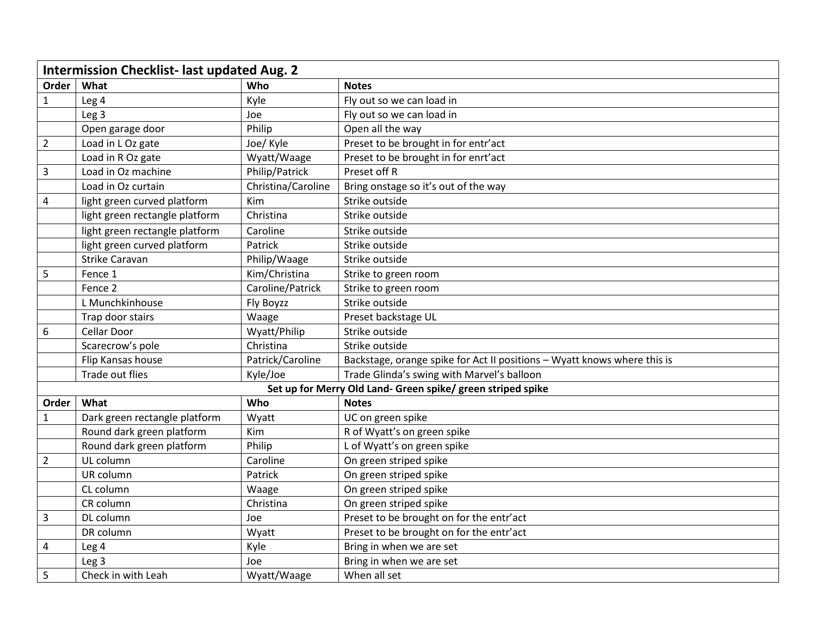| <b>Intermission Checklist- last updated Aug. 2</b> |                                                             |                    |                                                                          |  |  |  |
|----------------------------------------------------|-------------------------------------------------------------|--------------------|--------------------------------------------------------------------------|--|--|--|
| Order                                              | What                                                        | Who                | <b>Notes</b>                                                             |  |  |  |
| 1                                                  | Leg <sub>4</sub>                                            | Kyle               | Fly out so we can load in                                                |  |  |  |
|                                                    | Leg <sub>3</sub>                                            | Joe                | Fly out so we can load in                                                |  |  |  |
|                                                    | Open garage door                                            | Philip             | Open all the way                                                         |  |  |  |
| $\overline{2}$                                     | Load in L Oz gate                                           | Joe/ Kyle          | Preset to be brought in for entr'act                                     |  |  |  |
|                                                    | Load in R Oz gate                                           | Wyatt/Waage        | Preset to be brought in for enrt'act                                     |  |  |  |
| $\mathsf{3}$                                       | Load in Oz machine                                          | Philip/Patrick     | Preset off R                                                             |  |  |  |
|                                                    | Load in Oz curtain                                          | Christina/Caroline | Bring onstage so it's out of the way                                     |  |  |  |
| 4                                                  | light green curved platform                                 | Kim                | Strike outside                                                           |  |  |  |
|                                                    | light green rectangle platform                              | Christina          | Strike outside                                                           |  |  |  |
|                                                    | light green rectangle platform                              | Caroline           | Strike outside                                                           |  |  |  |
|                                                    | light green curved platform                                 | Patrick            | Strike outside                                                           |  |  |  |
|                                                    | <b>Strike Caravan</b>                                       | Philip/Waage       | Strike outside                                                           |  |  |  |
| 5                                                  | Fence 1                                                     | Kim/Christina      | Strike to green room                                                     |  |  |  |
|                                                    | Fence 2                                                     | Caroline/Patrick   | Strike to green room                                                     |  |  |  |
|                                                    | L Munchkinhouse                                             | Fly Boyzz          | Strike outside                                                           |  |  |  |
|                                                    | Trap door stairs                                            | Waage              | Preset backstage UL                                                      |  |  |  |
| 6                                                  | Cellar Door                                                 | Wyatt/Philip       | Strike outside                                                           |  |  |  |
|                                                    | Scarecrow's pole                                            | Christina          | Strike outside                                                           |  |  |  |
|                                                    | Flip Kansas house                                           | Patrick/Caroline   | Backstage, orange spike for Act II positions - Wyatt knows where this is |  |  |  |
|                                                    | Trade out flies                                             | Kyle/Joe           | Trade Glinda's swing with Marvel's balloon                               |  |  |  |
|                                                    | Set up for Merry Old Land- Green spike/ green striped spike |                    |                                                                          |  |  |  |
| Order                                              | What                                                        | Who                | <b>Notes</b>                                                             |  |  |  |
| $\mathbf{1}$                                       | Dark green rectangle platform                               | Wyatt              | UC on green spike                                                        |  |  |  |
|                                                    | Round dark green platform                                   | Kim                | R of Wyatt's on green spike                                              |  |  |  |
|                                                    | Round dark green platform                                   | Philip             | L of Wyatt's on green spike                                              |  |  |  |
| $\overline{2}$                                     | UL column                                                   | Caroline           | On green striped spike                                                   |  |  |  |
|                                                    | UR column                                                   | Patrick            | On green striped spike                                                   |  |  |  |
|                                                    | CL column                                                   | Waage              | On green striped spike                                                   |  |  |  |
|                                                    | CR column                                                   | Christina          | On green striped spike                                                   |  |  |  |
| $\mathsf 3$                                        | DL column                                                   | Joe                | Preset to be brought on for the entr'act                                 |  |  |  |
|                                                    | DR column                                                   | Wyatt              | Preset to be brought on for the entr'act                                 |  |  |  |
| 4                                                  | Leg 4                                                       | Kyle               | Bring in when we are set                                                 |  |  |  |
|                                                    | Leg <sub>3</sub>                                            | Joe                | Bring in when we are set                                                 |  |  |  |
| 5                                                  | Check in with Leah                                          | Wyatt/Waage        | When all set                                                             |  |  |  |